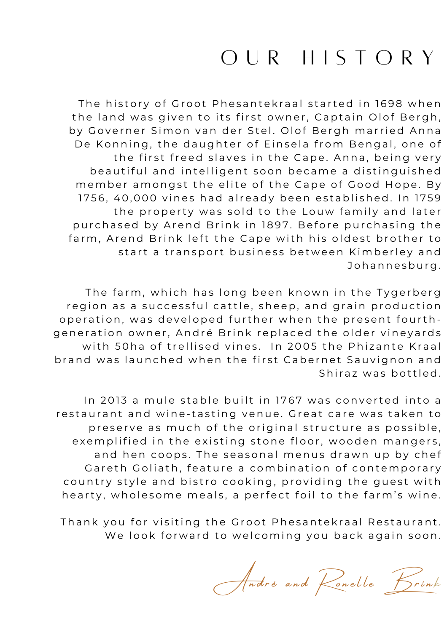# OUR HISTORY

The history of Groot Phesantekraal started in 1698 when the land was given to its first owner, Captain Olof Bergh, by Governer Simon van der Stel. Olof Bergh married Anna De Konning, the daughter of Einsela from Bengal, one of the first freed slaves in the Cape. Anna, being very beautiful and intelligent soon became a distinguished member amongst the elite of the Cape of Good Hope. By 1756, 40,000 vines had already been established. In 1759 the property was sold to the Louw family and later purchased by Arend Brink in 1897. Before purchasing the farm, Arend Brink left the Cape with his oldest brother to start a transport business between Kimberley and Johannesburg.

The farm, which has long been known in the Tygerberg region as a successful cattle, sheep, and grain production operation, was developed further when the present fourthgeneration owner, André Brink replaced the older vineyards with 50ha of trellised vines. In 2005 the Phizante Kraal brand was launched when the first Cabernet Sauvignon and Shiraz was bottled.

In 2013 a mule stable built in 1767 was converted into a restaurant and wine-tasting venue. Great care was taken to preserve as much of the original structure as possible, exemplified in the existing stone floor, wooden mangers, and hen coops. The seasonal menus drawn up by chef Gareth Goliath, feature a combination of contemporary country style and bistro cooking, providing the guest with hearty, wholesome meals, a perfect foil to the farm's wine.

Thank you for visiting the Groot Phesantekraal Restaurant. We look forward to welcoming you back again soon.

André and Ronelle Brink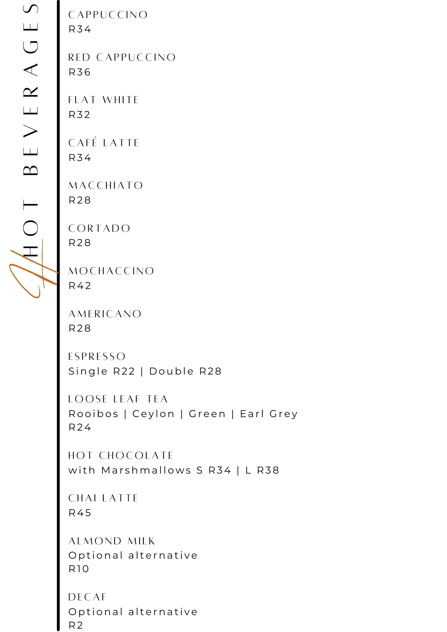C A P P U C C I N O R 34

RED CAPPUCCINO R 3 6

FLAT WHITE R 3 2

CAFÉ LATTE R 34

**MACCHIATO** R 2 8

**CORTADO** R 2 8

**MOCHACCINO** R 42

**AMERICANO** R 2 8

**ESPRESSO** Single R22 | Double R28

LOOSE LEAF TEA Rooibos | Ceylon | Green | Earl Grey R 24

HOT CHOCOLATE with Marshmallows S R34 | L R38

CHAI LATTE R 45

ALMOND MILK Optional alternative R 10

DE C A F Optional alternative R 2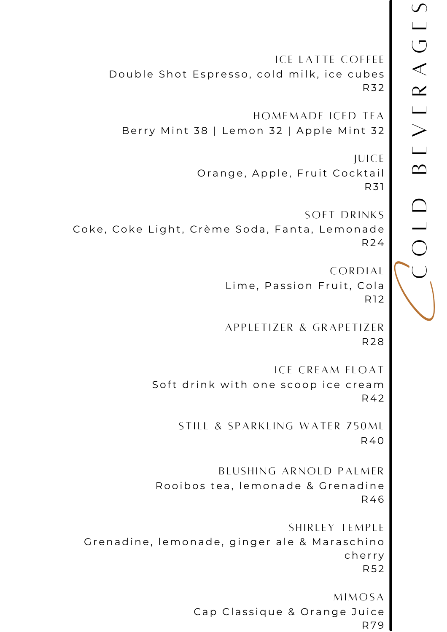**ICE LATTE COFFEE** Double Shot Espresso, cold milk, ice cubes **R32** HOMEMADE ICED TEA Berry Mint 38 | Lemon 32 | Apple Mint 32 **JUICE** Orange, Apple, Fruit Cocktail R31 **SOFT DRINKS** Coke, Coke Light, Crème Soda, Fanta, Lemonade **R24** CORDIAL Lime, Passion Fruit, Cola R<sub>12</sub> APPLETIZER & GRAPETIZER **R28 ICE CREAM FLOAT** Soft drink with one scoop ice cream R42 STILL & SPARKLING WATER 750ML **R40** BLUSHING ARNOLD PALMER Rooibos tea, lemonade & Grenadine R46 SHIRLEY TEMPLE Grenadine, lemonade, ginger ale & Maraschino cherry **R52** 

**MIMOSA** Cap Classique & Orange Juice **R79**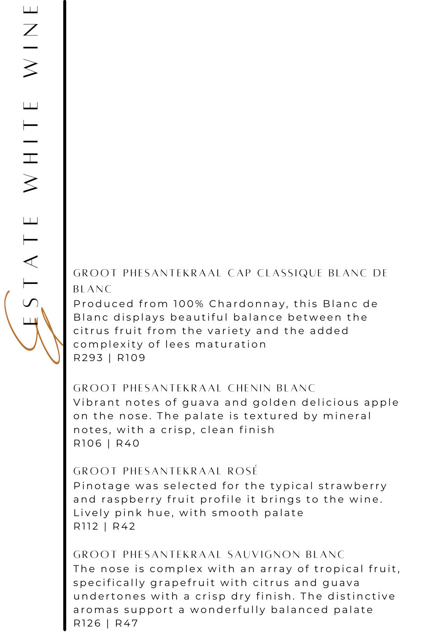GROOT PHESANTEKRAAL CAP CLASSIQUE BLANC DE  $BLANC$ 

Produced from 100% Chardonnay, this Blanc de Blanc displays beautiful balance between the citrus fruit from the variety and the added complexity of lees maturation R 2 9 3 | R 109

## GROOT PHESANTEKRAAL CHENIN BLANC

Vibrant notes of guava and golden delicious apple on the nose. The palate is textured by mineral notes, with a crisp, clean finish R 106 | R 40

## GROOT PHESANTEKRAAL ROSÉ

Pinotage was selected for the typical strawberry and raspberry fruit profile it brings to the wine. Lively pink hue, with smooth palate R<sub>112</sub> | R<sub>42</sub>

GROOT PHESANTEKRAAL SAUVIGNON BLANC The nose is complex with an array of tropical fruit, specifically grapefruit with citrus and guava undertones with a crisp dry finish. The distinctive aromas support a wonderfully balanced palate R126 | R47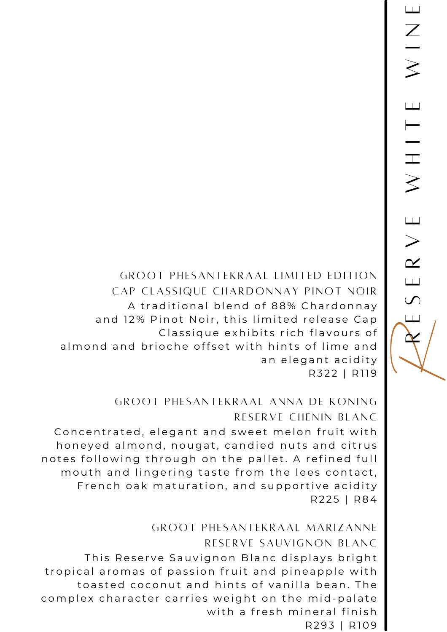**GROOT PHESANTEKRAAL LIMITED EDITION** CAP CLASSIQUE CHARDONNAY PINOT NOIR A traditional blend of 88% Chardonnay and 12% Pinot Noir, this limited release Cap Classique exhibits rich flavours of almond and brioche offset with hints of lime and an elegant acidity R322 | R119

# **GROOT PHESANTEKRAAL ANNA DE KONING** RESERVE CHENIN BLANC

Concentrated, elegant and sweet melon fruit with honeyed almond, nougat, candied nuts and citrus notes following through on the pallet. A refined full mouth and lingering taste from the lees contact, French oak maturation, and supportive acidity R225 | R84

**GROOT PHESANTEKRAAL MARIZANNE** RESERVE SAUVIGNON BLANC This Reserve Sauvignon Blanc displays bright tropical aromas of passion fruit and pineapple with toasted coconut and hints of vanilla bean. The complex character carries weight on the mid-palate with a fresh mineral finish R293 | R109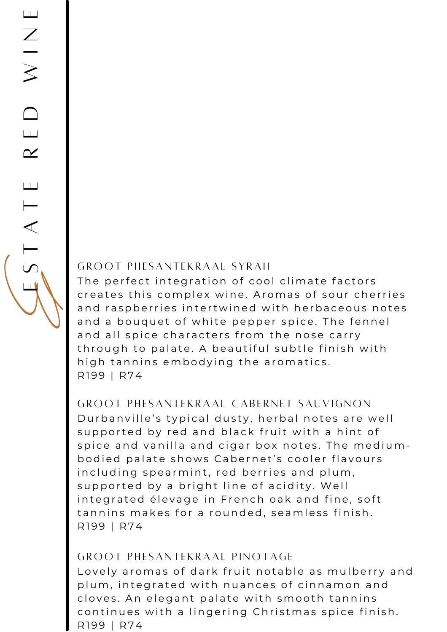#### GROOT PHESANTEKRAAL SYRAH

The perfect integration of cool climate factors creates this complex wine. Aromas of sour cherries and raspberries intertwined with herbaceous notes and a bouquet of white pepper spice. The fennel and all spice characters from the nose carry through to palate. A beautiful subtle finish with high tannins embodying the aromatics. R199 | R74

GROOT PHESANTEKRAAL CABERNET SAUVIGNON Durbanville's typical dusty, herbal notes are well supported by red and black fruit with a hint of spice and vanilla and cigar box notes. The mediumbodied palate shows Cabernet's cooler flavours including spearmint, red berries and plum, supported by a bright line of acidity. Well integrated élevage in French oak and fine, soft tannins makes for a rounded, seamless finish. R199 | R74

#### GROOT PHESANTEKRAAL PINOTAGE

Lovely aromas of dark fruit notable as mulberry and plum, integrated with nuances of cinnamon and cloves. An elegant palate with smooth tannins continues with a lingering Christmas spice finish. R199 | R74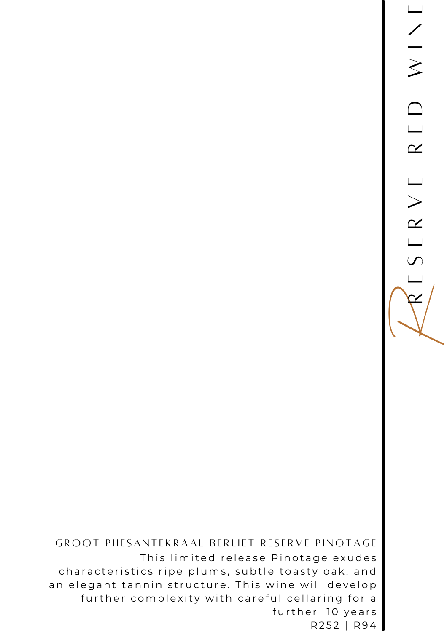GROOT PHESANTEKRAAL BERLIET RESERVE PINOTAGE This limited release Pinotage exudes characteristics ripe plums, subtle toasty oak, and further complexity with careful cellaring for a further 10 years R252 | R94

an elegant tannin structure. This wine will develop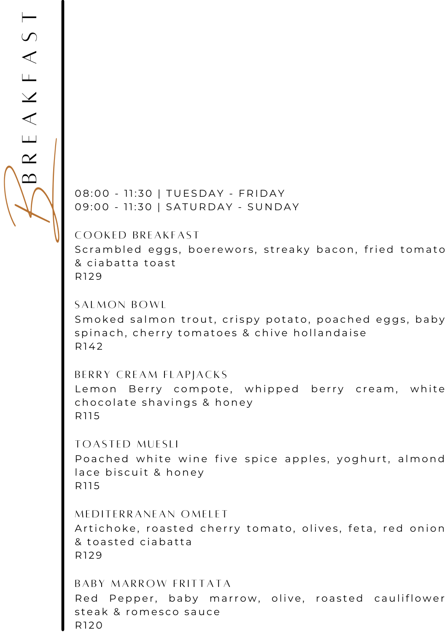RE<br>BBRE  $\bf{\curvearrowright}$ E $\blacktriangleleft$  $\swarrow$  $\Box$  $\blacktriangleleft$  $\mathcal{S}$  $\overline{\phantom{0}}$ 

08:00 - 11:30 | TUESDAY - FRIDAY 09:00 - 11:30 | SATURDAY - SUNDAY

COOKED BREAKFAST

Scrambled eggs, boerewors, streaky bacon, fried tomato & ciabatta toast R<sub>129</sub>

SALMON BOWL Smoked salmon trout, crispy potato, poached eggs, baby spinach, cherry tomatoes & chive hollandaise R 142

BERRY CREAM FLAPJACKS Lemon Berry compote, whipped berry cream, white chocolate shavings & honey R 11 5

TOASTED MUESLI Poached white wine five spice apples, yoghurt, almond lace biscuit & honey R 11 5

MEDITERRANEAN OMELET Artichoke, roasted cherry tomato, olives, feta, red onion & toasted ciabatta R<sub>129</sub>

BABY MARROW FRITTATA Red Pepper, baby marrow, olive, roasted cauliflower steak & romesco sauce R120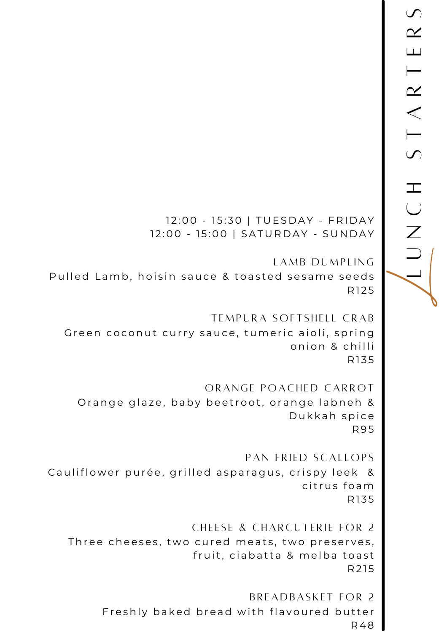12:00 - 15:30 | TUESDAY - FRIDAY 12:00 - 15:00 | SATURDAY - SUNDAY

LAMB DUMPLING Pulled Lamb, hoisin sauce & toasted sesame seeds R125

TEMPURA SOFTSHELL CRAB Green coconut curry sauce, tumeric aioli, spring onion & chilli R135

ORANGE POACHED CARROT Orange glaze, baby beetroot, orange labneh & Dukkah spice R 9 5

PAN FRIED SCALLOPS Cauliflower purée, grilled asparagus, crispy leek & citrus foam R 1 3 5

CHEESE & CHARCUTERIE FOR 2 Three cheeses, two cured meats, two preserves, fruit, ciabatta & melba toast R 2 1 5

> BREADBASKET FOR 2 Freshly baked bread with flavoured butter R 48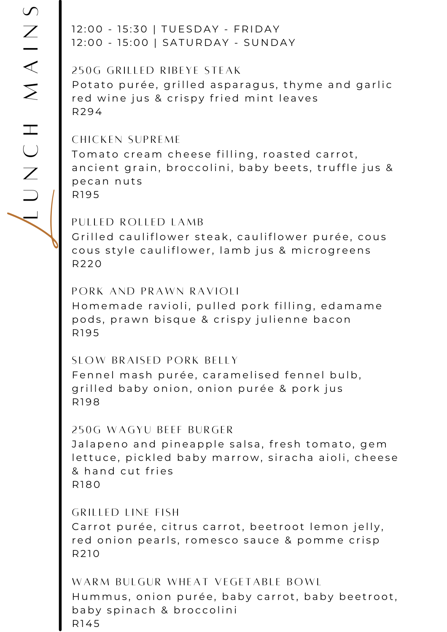12:00 - 15:30 | TUESDAY - FRIDAY 12:00 - 15:00 | SATURDAY - SUNDAY

250G GRILLED RIBEYE STEAK Potato purée, grilled asparagus, thyme and garlic red wine jus & crispy fried mint leaves R 2 94

#### CHICKEN SUPREME

Tomato cream cheese filling, roasted carrot, ancient grain, broccolini, baby beets, truffle jus & pecan nuts R<sub>195</sub>

PULLED ROLLED LAMB Grilled cauliflower steak, cauliflower purée, cous cous style cauliflower, lamb jus & microgreens R 2 20

PORK AND PRAWN RAVIOLI Homemade ravioli, pulled pork filling, edamame pods, prawn bisque & crispy julienne bacon R<sub>195</sub>

SLOW BRAISED PORK BELLY Fennel mash purée, caramelised fennel bulb, grilled baby onion, onion purée & pork jus R 1 9 8

#### 250G WAGYU BEEF BURGER

Jalapeno and pineapple salsa, fresh tomato, gem lettuce, pickled baby marrow, siracha aioli, cheese & hand cut fries R 1 80

GRILLED LINE FISH Carrot purée, citrus carrot, beetroot lemon jelly, red onion pearls, romesco sauce & pomme crisp R 2 10

WARM BULGUR WHEAT VEGETABLE BOWL Hummus, onion purée, baby carrot, baby beetroot. baby spinach & broccolini R 145